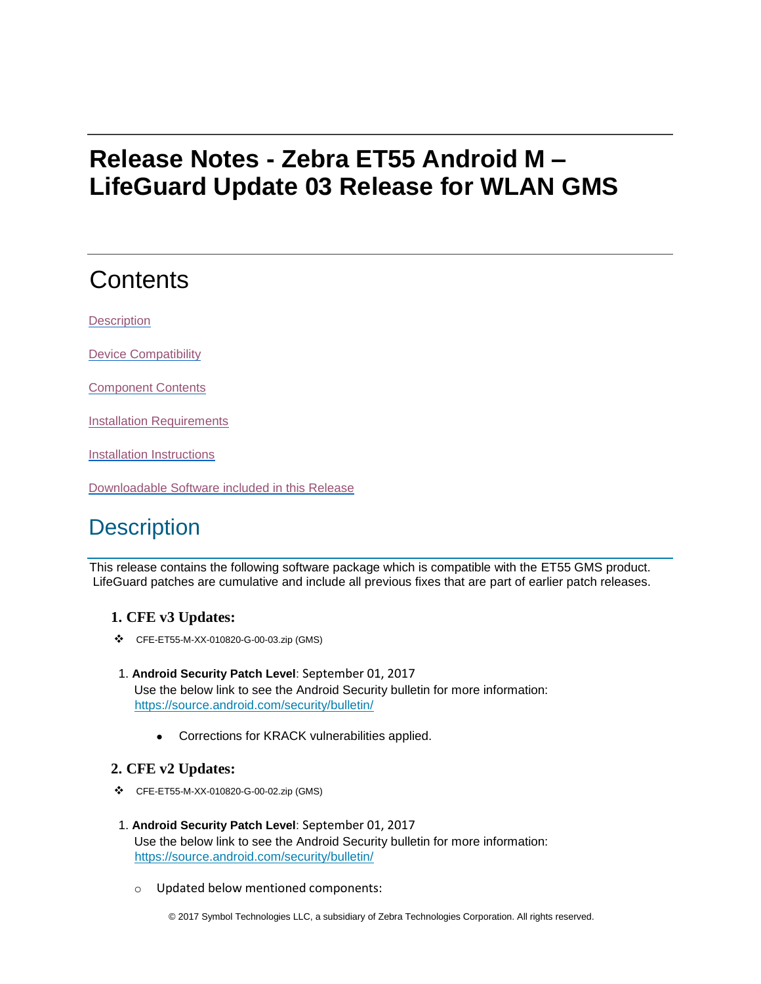# **Release Notes - Zebra ET55 Android M – LifeGuard Update 03 Release for WLAN GMS**

# **Contents**

**[Description](#page-0-0)** 

[Device Compatibility](#page-1-0)

[Component Contents](#page-1-1)

[Installation Requirements](#page-2-0)

[Installation Instructions](#page-2-1)

[Downloadable Software included in this Release](#page-3-0)

## <span id="page-0-0"></span>**Description**

This release contains the following software package which is compatible with the ET55 GMS product. LifeGuard patches are cumulative and include all previous fixes that are part of earlier patch releases.

### **1. CFE v3 Updates:**

- ❖ CFE-ET55-M-XX-010820-G-00-03.zip (GMS)
- 1. **Android Security Patch Level**: September 01, 2017 Use the below link to see the Android Security bulletin for more information: <https://source.android.com/security/bulletin/>
	- Corrections for KRACK vulnerabilities applied.

#### **2. CFE v2 Updates:**

- ❖ CFE-ET55-M-XX-010820-G-00-02.zip (GMS)
- 1. **Android Security Patch Level**: September 01, 2017 Use the below link to see the Android Security bulletin for more information: <https://source.android.com/security/bulletin/>
	- o Updated below mentioned components: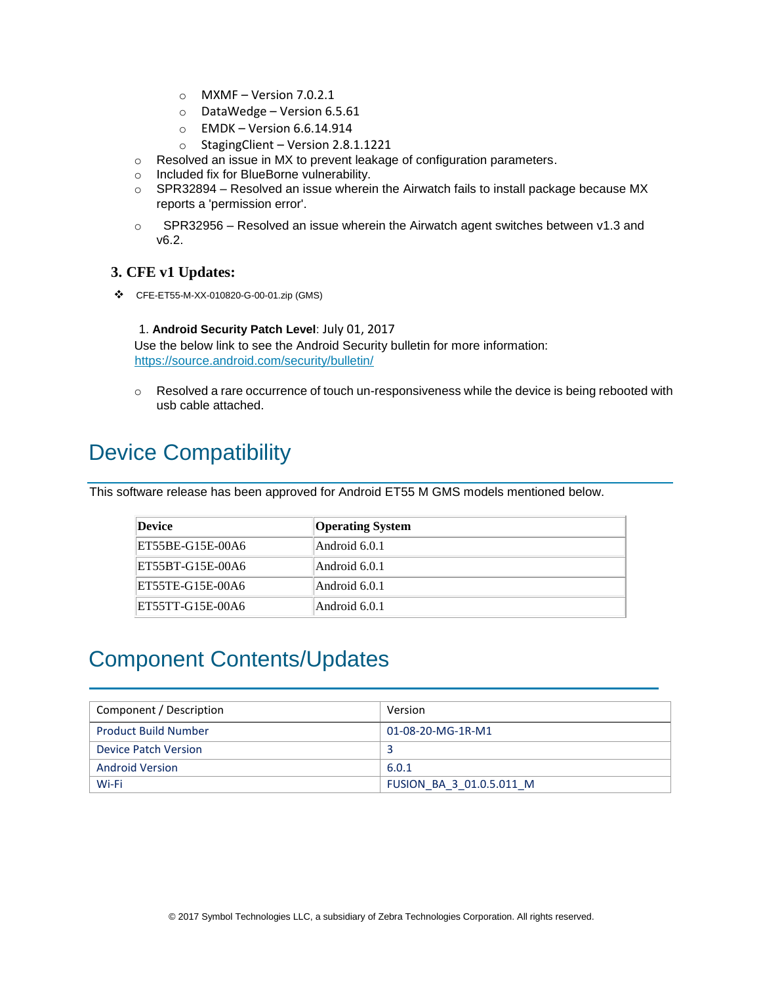- $\circ$  MXMF Version 7.0.2.1
- o DataWedge Version 6.5.61
- $\circ$  EMDK Version 6.6.14.914
- o StagingClient Version 2.8.1.1221
- o Resolved an issue in MX to prevent leakage of configuration parameters.
- o Included fix for BlueBorne vulnerability.
- $\circ$  SPR32894 Resolved an issue wherein the Airwatch fails to install package because MX reports a 'permission error'.
- $\circ$  SPR32956 Resolved an issue wherein the Airwatch agent switches between v1.3 and v6.2.

#### **3. CFE v1 Updates:**

❖ CFE-ET55-M-XX-010820-G-00-01.zip (GMS)

### 1. **Android Security Patch Level**: July 01, 2017

Use the below link to see the Android Security bulletin for more information: <https://source.android.com/security/bulletin/>

 $\circ$  Resolved a rare occurrence of touch un-responsiveness while the device is being rebooted with usb cable attached.

## <span id="page-1-0"></span>Device Compatibility

This software release has been approved for Android ET55 M GMS models mentioned below.

| Device           | <b>Operating System</b> |
|------------------|-------------------------|
| ET55BE-G15E-00A6 | Android 6.0.1           |
| ET55BT-G15E-00A6 | Android 6.0.1           |
| ET55TE-G15E-00A6 | Android 6.0.1           |
| ET55TT-G15E-00A6 | Android 6.0.1           |

## <span id="page-1-1"></span>Component Contents/Updates

| Component / Description     | Version                  |
|-----------------------------|--------------------------|
| <b>Product Build Number</b> | 01-08-20-MG-1R-M1        |
| Device Patch Version        |                          |
| <b>Android Version</b>      | 6.0.1                    |
| Wi-Fi                       | FUSION BA 3 01.0.5.011 M |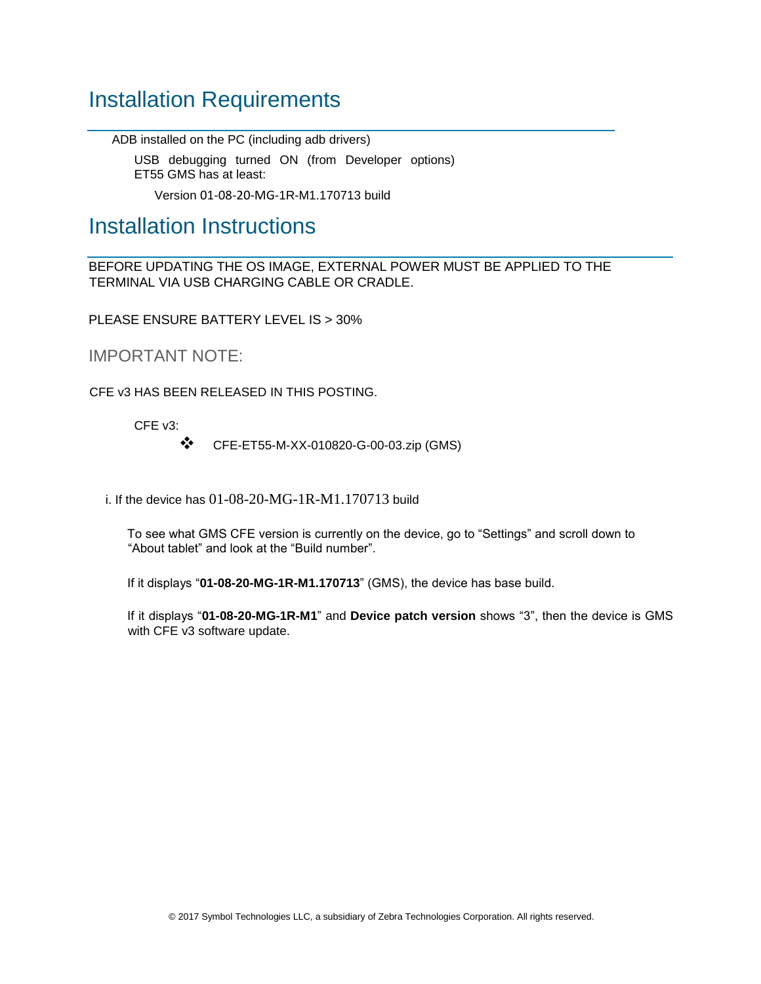### <span id="page-2-0"></span>Installation Requirements

ADB installed on the PC (including adb drivers)

USB debugging turned ON (from Developer options) ET55 GMS has at least:

Version 01-08-20-MG-1R-M1.170713 build

### <span id="page-2-1"></span>Installation Instructions

BEFORE UPDATING THE OS IMAGE, EXTERNAL POWER MUST BE APPLIED TO THE TERMINAL VIA USB CHARGING CABLE OR CRADLE.

PLEASE ENSURE BATTERY LEVEL IS > 30%

IMPORTANT NOTE:

CFE v3 HAS BEEN RELEASED IN THIS POSTING.

CFE v3:

❖ CFE-ET55-M-XX-010820-G-00-03.zip (GMS)

i. If the device has  $01-08-20-MG-1R-M1.170713$  build

To see what GMS CFE version is currently on the device, go to "Settings" and scroll down to "About tablet" and look at the "Build number".

If it displays "**01-08-20-MG-1R-M1.170713**" (GMS), the device has base build.

If it displays "**01-08-20-MG-1R-M1**" and **Device patch version** shows "3", then the device is GMS with CFE v3 software update.